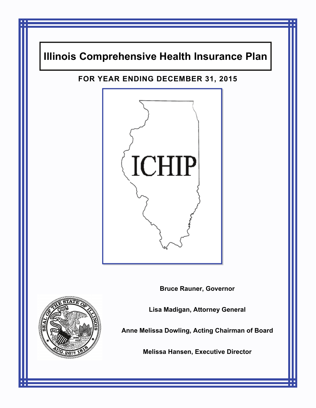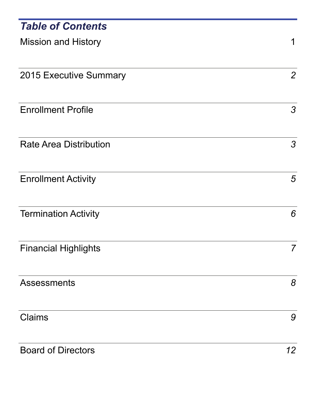| <b>Table of Contents</b>      |                 |
|-------------------------------|-----------------|
| <b>Mission and History</b>    | 1               |
| 2015 Executive Summary        | $\overline{2}$  |
| <b>Enrollment Profile</b>     | 3               |
| <b>Rate Area Distribution</b> | 3               |
| <b>Enrollment Activity</b>    | $5\overline{)}$ |
| <b>Termination Activity</b>   | 6               |
| <b>Financial Highlights</b>   | 7               |
| <b>Assessments</b>            | 8               |
| <b>Claims</b>                 | 9               |
| <b>Board of Directors</b>     | 12              |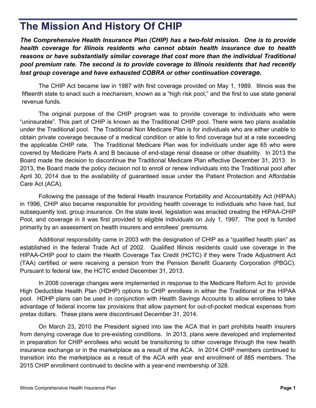# **The Mission And History Of CHIP**

*The Comprehensive Health Insurance Plan (CHIP) has a two-fold mission. One is to provide health coverage for Illinois residents who cannot obtain health insurance due to health reasons or have substantially similar coverage that cost more than the individual Traditional pool premium rate. The second is to provide coverage to Illinois residents that had recently lost group coverage and have exhausted COBRA or other continuation coverage.* 

 The CHIP Act became law in 1987 with first coverage provided on May 1, 1989. Illinois was the fifteenth state to enact such a mechanism, known as a "high risk pool," and the first to use state general revenue funds.

 The original purpose of the CHIP program was to provide coverage to individuals who were "uninsurable". This part of CHIP is known as the Traditional CHIP pool. There were two plans available under the Traditional pool. The Traditional Non Medicare Plan is for individuals who are either unable to obtain private coverage because of a medical condition or able to find coverage but at a rate exceeding the applicable CHIP rate. The Traditional Medicare Plan was for individuals under age 65 who were covered by Medicare Parts A and B because of end-stage renal disease or other disability. In 2013 the Board made the decision to discontinue the Traditional Medicare Plan effective December 31, 2013. In 2013, the Board made the policy decision not to enroll or renew individuals into the Traditional pool after April 30, 2014 due to the availability of guaranteed issue under the Patient Protection and Affordable Care Act (ACA).

 Following the passage of the federal Health Insurance Portability and Accountability Act (HIPAA) in 1996, CHIP also became responsible for providing health coverage to individuals who have had, but subsequently lost, group insurance. On the state level, legislation was enacted creating the HIPAA-CHIP Pool, and coverage in it was first provided to eligible individuals on July 1, 1997. The pool is funded primarily by an assessment on health insurers and enrollees' premiums.

 Additional responsibility came in 2003 with the designation of CHIP as a "qualified health plan" as established in the federal Trade Act of 2002. Qualified Illinois residents could use coverage in the HIPAA-CHIP pool to claim the Health Coverage Tax Credit (HCTC) if they were Trade Adjustment Act (TAA) certified or were receiving a pension from the Pension Benefit Guaranty Corporation (PBGC). Pursuant to federal law, the HCTC ended December 31, 2013.

 In 2008 coverage changes were implemented in response to the Medicare Reform Act to provide High Deductible Health Plan (HDHP) options to CHIP enrollees in either the Traditional or the HIPAA pool. HDHP plans can be used in conjunction with Health Savings Accounts to allow enrollees to take advantage of federal income tax provisions that allow payment for out-of-pocket medical expenses from pretax dollars. These plans were discontinued December 31, 2014.

On March 23, 2010 the President signed into law the ACA that in part prohibits health insurers from denying coverage due to pre-existing conditions. In 2013, plans were developed and implemented in preparation for CHIP enrollees who would be transitioning to other coverage through the new health insurance exchange or in the marketplace as a result of the ACA. In 2014 CHIP members continued to transition into the marketplace as a result of the ACA with year end enrollment of 885 members. The 2015 CHIP enrollment continued to decline with a year-end membership of 328.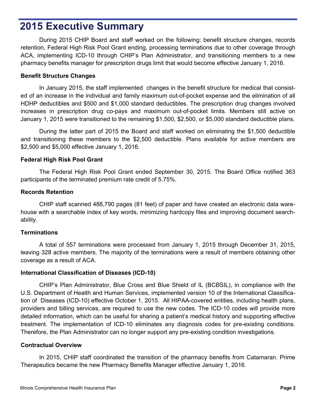## **2015 Executive Summary**

During 2015 CHIP Board and staff worked on the following: benefit structure changes, records retention, Federal High Risk Pool Grant ending, processing terminations due to other coverage through ACA, implementing ICD-10 through CHIP's Plan Administrator, and transitioning members to a new pharmacy benefits manager for prescription drugs limit that would become effective January 1, 2016.

### **Benefit Structure Changes**

 In January 2015, the staff implemented changes in the benefit structure for medical that consisted of an increase in the individual and family maximum out-of-pocket expense and the elimination of all HDHP deductibles and \$500 and \$1,000 standard deductibles. The prescription drug changes involved increases in prescription drug co-pays and maximum out-of-pocket limits. Members still active on January 1, 2015 were transitioned to the remaining \$1,500, \$2,500, or \$5,000 standard deductible plans.

 During the latter part of 2015 the Board and staff worked on eliminating the \$1,500 deductible and transitioning these members to the \$2,500 deductible. Plans available for active members are \$2,500 and \$5,000 effective January 1, 2016.

### **Federal High Risk Pool Grant**

 The Federal High Risk Pool Grant ended September 30, 2015. The Board Office notified 363 participants of the terminated premium rate credit of 5.75%.

### **Records Retention**

 CHIP staff scanned 488,790 pages (81 feet) of paper and have created an electronic data warehouse with a searchable index of key words, minimizing hardcopy files and improving document searchability.

### **Terminations**

 A total of 557 terminations were processed from January 1, 2015 through December 31, 2015, leaving 328 active members. The majority of the terminations were a result of members obtaining other coverage as a result of ACA.

### **International Classification of Diseases (ICD-10)**

 CHIP's Plan Administrator, Blue Cross and Blue Shield of IL (BCBSIL), in compliance with the U.S. Department of Health and Human Services, implemented version 10 of the International Classification of Diseases (ICD-10) effective October 1, 2015. All HIPAA-covered entities, including health plans, providers and billing services, are required to use the new codes. The ICD-10 codes will provide more detailed information, which can be useful for sharing a patient's medical history and supporting effective treatment. The implementation of ICD-10 eliminates any diagnosis codes for pre-existing conditions. Therefore, the Plan Administrator can no longer support any pre-existing condition investigations.

### **Contractual Overview**

 In 2015, CHIP staff coordinated the transition of the pharmacy benefits from Catamaran. Prime Therapeutics became the new Pharmacy Benefits Manager effective January 1, 2016.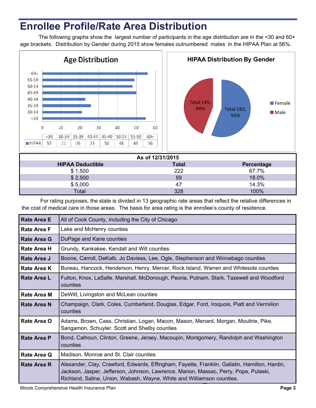# **Enrollee Profile/Rate Area Distribution**

The following graphs show the largest number of participants in the age distribution are in the <30 and 60+ age brackets. Distribution by Gender during 2015 show females outnumbered males in the HIPAA Plan at 56%.



For rating purposes, the state is divided in 13 geographic rate areas that reflect the relative differences in the cost of medical care in those areas. The basis for area rating is the enrollee's county of residence.

 $\frac{1}{100\%}$  and  $\frac{328}{100\%}$ 

| <b>Rate Area E</b> | All of Cook County, including the City of Chicago                                                                                                                                                                                                               |
|--------------------|-----------------------------------------------------------------------------------------------------------------------------------------------------------------------------------------------------------------------------------------------------------------|
| <b>Rate Area F</b> | Lake and McHenry counties                                                                                                                                                                                                                                       |
| Rate Area G        | DuPage and Kane counties                                                                                                                                                                                                                                        |
| Rate Area H        | Grundy, Kankakee, Kendall and Will counties                                                                                                                                                                                                                     |
| Rate Area J        | Boone, Carroll, DeKalb, Jo Daviess, Lee, Ogle, Stephenson and Winnebago counties                                                                                                                                                                                |
| <b>Rate Area K</b> | Bureau, Hancock, Henderson, Henry, Mercer, Rock Island, Warren and Whiteside counties                                                                                                                                                                           |
| <b>Rate Area L</b> | Fulton, Knox, LaSalle, Marshall, McDonough, Peoria, Putnam, Stark, Tazewell and Woodford<br>counties                                                                                                                                                            |
| <b>Rate Area M</b> | DeWitt, Livingston and McLean counties                                                                                                                                                                                                                          |
| <b>Rate Area N</b> | Champaign, Clark, Coles, Cumberland, Douglas, Edgar, Ford, Iroquois, Piatt and Vermilion<br>counties                                                                                                                                                            |
| Rate Area O        | Adams, Brown, Cass, Christian, Logan, Macon, Mason, Menard, Morgan, Moultrie, Pike,<br>Sangamon, Schuyler, Scott and Shelby counties                                                                                                                            |
| <b>Rate Area P</b> | Bond, Calhoun, Clinton, Greene, Jersey, Macoupin, Montgomery, Randolph and Washington<br>counties                                                                                                                                                               |
| Rate Area Q        | Madison, Monroe and St. Clair counties                                                                                                                                                                                                                          |
| <b>Rate Area R</b> | Alexander, Clay, Crawford, Edwards, Effingham, Fayette, Franklin, Gallatin, Hamilton, Hardin,<br>Jackson, Jasper, Jefferson, Johnson, Lawrence, Marion, Massac, Perry, Pope, Pulaski,<br>Richland, Saline, Union, Wabash, Wayne, White and Williamson counties. |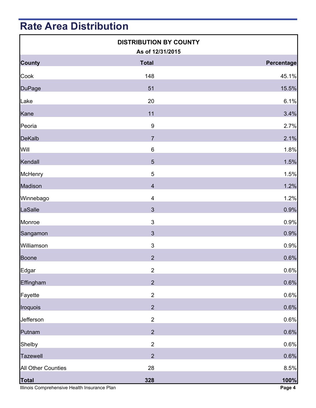# **Rate Area Distribution**

|                                                              | <b>DISTRIBUTION BY COUNTY</b><br>As of 12/31/2015 |                |
|--------------------------------------------------------------|---------------------------------------------------|----------------|
| <b>County</b>                                                | <b>Total</b>                                      | Percentage     |
| Cook                                                         | 148                                               | 45.1%          |
| <b>DuPage</b>                                                | 51                                                | 15.5%          |
| Lake                                                         | 20                                                | 6.1%           |
| Kane                                                         | 11                                                | 3.4%           |
| Peoria                                                       | $\boldsymbol{9}$                                  | 2.7%           |
| <b>DeKalb</b>                                                | $\overline{7}$                                    | 2.1%           |
| Will                                                         | $\,6$                                             | 1.8%           |
| Kendall                                                      | 5                                                 | 1.5%           |
| <b>McHenry</b>                                               | 5                                                 | 1.5%           |
| Madison                                                      | $\overline{\mathbf{4}}$                           | 1.2%           |
| Winnebago                                                    | $\overline{\mathbf{4}}$                           | 1.2%           |
| LaSalle                                                      | $\mathbf{3}$                                      | 0.9%           |
| Monroe                                                       | $\ensuremath{\mathsf{3}}$                         | 0.9%           |
| Sangamon                                                     | $\mathfrak{Z}$                                    | 0.9%           |
| Williamson                                                   | $\mathfrak{S}$                                    | 0.9%           |
| <b>Boone</b>                                                 | $\overline{2}$                                    | 0.6%           |
| Edgar                                                        | $\mathbf 2$                                       | 0.6%           |
| Effingham                                                    | $\overline{2}$                                    | 0.6%           |
| Fayette                                                      | $\overline{2}$                                    | 0.6%           |
| Iroquois                                                     | $\overline{2}$                                    | 0.6%           |
| Jefferson                                                    | $\mathbf 2$                                       | 0.6%           |
| Putnam                                                       | $\overline{2}$                                    | 0.6%           |
| Shelby                                                       | $\overline{2}$                                    | 0.6%           |
| <b>Tazewell</b>                                              | $\overline{2}$                                    | 0.6%           |
| <b>All Other Counties</b>                                    | 28                                                | 8.5%           |
| <b>Total</b><br>Illinois Comprehensive Health Insurance Plan | 328                                               | 100%<br>Page 4 |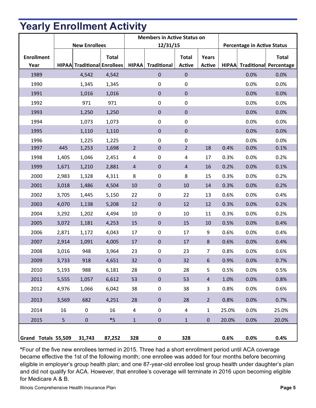# **Yearly Enrollment Activity**

|                     |                      |                                    |              | <b>Members in Active Status on</b> |                   |                |                |                                    |      |                                     |
|---------------------|----------------------|------------------------------------|--------------|------------------------------------|-------------------|----------------|----------------|------------------------------------|------|-------------------------------------|
|                     | <b>New Enrollees</b> |                                    |              | 12/31/15                           |                   |                |                | <b>Percentage in Active Status</b> |      |                                     |
| <b>Enrollment</b>   |                      |                                    | <b>Total</b> |                                    |                   | <b>Total</b>   | Years          |                                    |      | <b>Total</b>                        |
| Year                |                      | <b>HIPAA</b> Traditional Enrollees |              |                                    | HIPAA Traditional | Active         | Active         |                                    |      | <b>HIPAA</b> Traditional Percentage |
| 1989                |                      | 4,542                              | 4,542        |                                    | $\pmb{0}$         | $\pmb{0}$      |                |                                    | 0.0% | 0.0%                                |
| 1990                |                      | 1,345                              | 1,345        |                                    | $\pmb{0}$         | $\pmb{0}$      |                |                                    | 0.0% | 0.0%                                |
| 1991                |                      | 1,016                              | 1,016        |                                    | $\pmb{0}$         | $\pmb{0}$      |                |                                    | 0.0% | 0.0%                                |
| 1992                |                      | 971                                | 971          |                                    | $\pmb{0}$         | $\pmb{0}$      |                |                                    | 0.0% | 0.0%                                |
| 1993                |                      | 1,250                              | 1,250        |                                    | $\pmb{0}$         | $\pmb{0}$      |                |                                    | 0.0% | 0.0%                                |
| 1994                |                      | 1,073                              | 1,073        |                                    | $\pmb{0}$         | $\pmb{0}$      |                |                                    | 0.0% | 0.0%                                |
| 1995                |                      | 1,110                              | 1,110        |                                    | $\pmb{0}$         | $\pmb{0}$      |                |                                    | 0.0% | 0.0%                                |
| 1996                |                      | 1,225                              | 1,225        |                                    | $\pmb{0}$         | $\pmb{0}$      |                |                                    | 0.0% | 0.0%                                |
| 1997                | 445                  | 1,253                              | 1,698        | $\overline{2}$                     | $\pmb{0}$         | $\overline{2}$ | 18             | 0.4%                               | 0.0% | 0.1%                                |
| 1998                | 1,405                | 1,046                              | 2,451        | $\sqrt{4}$                         | 0                 | 4              | 17             | 0.3%                               | 0.0% | 0.2%                                |
| 1999                | 1,671                | 1,210                              | 2,881        | $\overline{4}$                     | $\pmb{0}$         | $\overline{4}$ | 16             | 0.2%                               | 0.0% | 0.1%                                |
| 2000                | 2,983                | 1,328                              | 4,311        | 8                                  | 0                 | 8              | 15             | 0.3%                               | 0.0% | 0.2%                                |
| 2001                | 3,018                | 1,486                              | 4,504        | 10                                 | $\pmb{0}$         | 10             | 14             | 0.3%                               | 0.0% | 0.2%                                |
| 2002                | 3,705                | 1,445                              | 5,150        | 22                                 | $\pmb{0}$         | 22             | 13             | 0.6%                               | 0.0% | 0.4%                                |
| 2003                | 4,070                | 1,138                              | 5,208        | 12                                 | $\pmb{0}$         | 12             | 12             | 0.3%                               | 0.0% | 0.2%                                |
| 2004                | 3,292                | 1,202                              | 4,494        | 10                                 | $\pmb{0}$         | 10             | 11             | 0.3%                               | 0.0% | 0.2%                                |
| 2005                | 3,072                | 1,181                              | 4,253        | 15                                 | $\pmb{0}$         | 15             | 10             | 0.5%                               | 0.0% | 0.4%                                |
| 2006                | 2,871                | 1,172                              | 4,043        | 17                                 | $\pmb{0}$         | 17             | 9              | 0.6%                               | 0.0% | 0.4%                                |
| 2007                | 2,914                | 1,091                              | 4,005        | 17                                 | $\pmb{0}$         | 17             | $8\phantom{1}$ | 0.6%                               | 0.0% | 0.4%                                |
| 2008                | 3,016                | 948                                | 3,964        | 23                                 | $\pmb{0}$         | 23             | $\overline{7}$ | 0.8%                               | 0.0% | 0.6%                                |
| 2009                | 3,733                | 918                                | 4,651        | 32                                 | $\pmb{0}$         | 32             | $6\,$          | 0.9%                               | 0.0% | 0.7%                                |
| 2010                | 5,193                | 988                                | 6,181        | 28                                 | $\pmb{0}$         | 28             | 5              | 0.5%                               | 0.0% | 0.5%                                |
| 2011                | 5,555                | 1,057                              | 6,612        | 53                                 | $\pmb{0}$         | 53             | $\overline{4}$ | 1.0%                               | 0.0% | 0.8%                                |
| 2012                | 4,976                | 1,066                              | 6,042        | 38                                 | $\pmb{0}$         | 38             | 3              | 0.8%                               | 0.0% | 0.6%                                |
| 2013                | 3,569                | 682                                | 4,251        | 28                                 | $\pmb{0}$         | 28             | $\overline{2}$ | 0.8%                               | 0.0% | 0.7%                                |
| 2014                | 16                   | $\boldsymbol{0}$                   | 16           | $\overline{\mathbf{4}}$            | $\pmb{0}$         | 4              | $\mathbf{1}$   | 25.0%                              | 0.0% | 25.0%                               |
| 2015                | 5                    | $\pmb{0}$                          | $*5$         | $\mathbf{1}$                       | $\pmb{0}$         | $\mathbf{1}$   | $\mathbf 0$    | 20.0%                              | 0.0% | 20.0%                               |
| Grand Totals 55,509 |                      | 31,743                             | 87,252       | 328                                | $\pmb{0}$         | 328            |                | 0.6%                               | 0.0% | 0.4%                                |

**\***Four of the five new enrollees termed in 2015. Three had a short enrollment period until ACA coverage became effective the 1st of the following month; one enrollee was added for four months before becoming eligible in employer's group health plan; and one 87-year-old enrollee lost group health under daughter's plan and did not qualify for ACA. However, that enrollee's coverage will terminate in 2016 upon becoming eligible for Medicare A & B.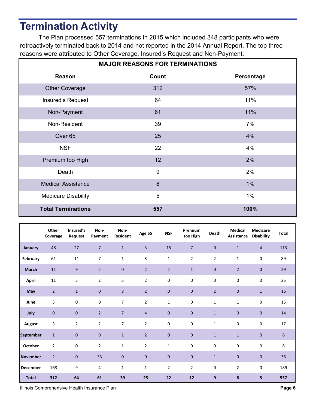# **Termination Activity**

 The Plan processed 557 terminations in 2015 which included 348 participants who were retroactively terminated back to 2014 and not reported in the 2014 Annual Report. The top three reasons were attributed to Other Coverage, Insured's Request and Non-Payment.

| <b>MAJOR REASONS FOR TERMINATIONS</b> |                  |            |  |  |  |  |  |
|---------------------------------------|------------------|------------|--|--|--|--|--|
| Reason                                | Count            | Percentage |  |  |  |  |  |
| <b>Other Coverage</b>                 | 312              | 57%        |  |  |  |  |  |
| Insured's Request                     | 64               | 11%        |  |  |  |  |  |
| Non-Payment                           | 61               | 11%        |  |  |  |  |  |
| Non-Resident                          | 39               | 7%         |  |  |  |  |  |
| Over <sub>65</sub>                    | 25               | 4%         |  |  |  |  |  |
| <b>NSF</b>                            | 22               | 4%         |  |  |  |  |  |
| Premium too High                      | 12               | 2%         |  |  |  |  |  |
| Death                                 | $\boldsymbol{9}$ | 2%         |  |  |  |  |  |
| <b>Medical Assistance</b>             | 8                | $1\%$      |  |  |  |  |  |
| <b>Medicare Disability</b>            | 5                | $1\%$      |  |  |  |  |  |
| <b>Total Terminations</b>             | 557              | 100%       |  |  |  |  |  |

|                  | Other<br>Coverage | Insured's<br>Request | Non-<br>Payment | Non-<br>Resident | Age 65         | <b>NSF</b>     | Premium<br>too High | <b>Death</b>   | <b>Medical</b><br>Assistance | <b>Medicare</b><br><b>Disability</b> | <b>Total</b>   |
|------------------|-------------------|----------------------|-----------------|------------------|----------------|----------------|---------------------|----------------|------------------------------|--------------------------------------|----------------|
| January          | 48                | 27                   | $\overline{7}$  | $\mathbf{1}$     | 3              | 15             | $\overline{7}$      | $\mathbf{0}$   | $\mathbf{1}$                 | $\overline{4}$                       | 113            |
| February         | 61                | 11                   | $\overline{7}$  | $\mathbf{1}$     | 3              | $\mathbf 1$    | $\overline{2}$      | $\overline{2}$ | $\mathbf 1$                  | $\pmb{0}$                            | 89             |
| <b>March</b>     | 11                | 9                    | $\overline{2}$  | $\pmb{0}$        | $\overline{2}$ | $\overline{2}$ | $\mathbf{1}$        | $\mathbf{0}$   | $\overline{2}$               | $\mathbf 0$                          | 29             |
| <b>April</b>     | 11                | 5                    | $\overline{2}$  | 5                | $\overline{2}$ | $\mathbf 0$    | $\mathbf 0$         | $\mathbf 0$    | $\pmb{0}$                    | $\pmb{0}$                            | 25             |
| May              | $\overline{2}$    | $\mathbf{1}$         | $\mathbf{0}$    | 8                | $\overline{2}$ | $\mathbf 0$    | $\mathbf{0}$        | $\overline{2}$ | $\mathbf{0}$                 | $\mathbf{1}$                         | 16             |
| June             | $\overline{3}$    | $\mathbf 0$          | 0               | $\overline{7}$   | $\mathbf{2}$   | $\mathbf{1}$   | $\mathbf 0$         | $\mathbf{1}$   | $1\,$                        | $\pmb{0}$                            | 15             |
| July             | $\mathbf{0}$      | $\mathbf{0}$         | $\overline{2}$  | $\overline{7}$   | $\overline{4}$ | $\overline{0}$ | $\overline{0}$      | $\mathbf{1}$   | $\mathbf{0}$                 | $\mathbf{0}$                         | 14             |
| August           | 3                 | $\overline{2}$       | $\overline{2}$  | $\overline{7}$   | $\overline{2}$ | $\mathbf 0$    | $\mathbf 0$         | $\mathbf{1}$   | $\mathbf 0$                  | $\mathbf 0$                          | 17             |
| <b>September</b> | $\mathbf{1}$      | $\mathbf 0$          | $\mathbf 0$     | $\mathbf{1}$     | $\overline{2}$ | $\mathbf 0$    | $\mathbf 0$         | $\mathbf{1}$   | $1\,$                        | $\mathbf{0}$                         | $6\phantom{1}$ |
| October          | $\overline{2}$    | $\mathbf 0$          | $\overline{2}$  | $\mathbf{1}$     | $\overline{2}$ | $\mathbf{1}$   | $\mathbf 0$         | 0              | 0                            | $\mathbf 0$                          | 8              |
| <b>November</b>  | $\overline{2}$    | $\mathbf{0}$         | 33              | $\mathbf 0$      | $\mathbf{0}$   | $\mathbf{0}$   | $\mathbf{0}$        | $\mathbf{1}$   | $\mathbf{0}$                 | $\mathbf{0}$                         | 36             |
| <b>December</b>  | 168               | 9                    | 4               | $\mathbf{1}$     | $\mathbf{1}$   | $\overline{2}$ | $\overline{2}$      | $\mathbf 0$    | $\overline{2}$               | $\mathbf 0$                          | 189            |
| <b>Total</b>     | 312               | 64                   | 61              | 39               | 25             | 22             | 12                  | 9              | 8                            | 5                                    | 557            |

Illinois Comprehensive Health Insurance Plan **Page 6 Page 6 Page 6 Page 6 Page 6 Page 6 Page 6 Page 6 Page 6 Page 6 Page 6 Page 6 Page 6 Page 6 Page 6 Page 8 Page 8 Page 8 Page 8 Page**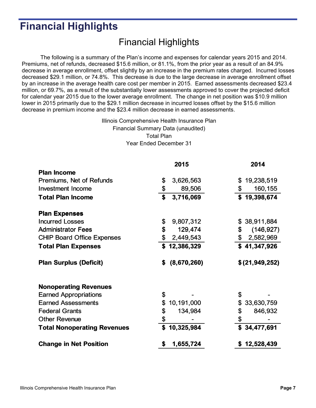## **Financial Highlights**

### Financial Highlights

The following is a summary of the Plan's income and expenses for calendar years 2015 and 2014. Premiums, net of refunds, decreased \$15.6 million, or 81.1%, from the prior year as a result of an 84.9% decrease in average enrollment, offset slightly by an increase in the premium rates charged. Incurred losses decreased \$29.1 million, or 74.8%. This decrease is due to the large decrease in average enrollment offset by an increase in the average health care cost per member in 2015. Earned assessments decreased \$23.4 million, or 69.7%, as a result of the substantially lower assessments approved to cover the projected deficit for calendar year 2015 due to the lower average enrollment. The change in net position was \$10.9 million lower in 2015 primarily due to the \$29.1 million decrease in incurred losses offset by the \$15.6 million decrease in premium income and the \$23.4 million decrease in earned assessments.

> Illinois Comprehensive Health Insurance Plan Financial Summary Data (unaudited) Total Plan Year Ended December 31

|                                    | 2015              | 2014              |
|------------------------------------|-------------------|-------------------|
| <b>Plan Income</b>                 |                   |                   |
| Premiums, Net of Refunds           | \$<br>3,626,563   | \$<br>19,238,519  |
| <b>Investment Income</b>           | \$<br>89,506      | \$<br>160,155     |
| <b>Total Plan Income</b>           | \$<br>3,716,069   | \$19,398,674      |
| <b>Plan Expenses</b>               |                   |                   |
| <b>Incurred Losses</b>             | \$<br>9,807,312   | \$38,911,884      |
| <b>Administrator Fees</b>          | \$<br>129,474     | \$<br>(146, 927)  |
| <b>CHIP Board Office Expenses</b>  | \$<br>2,449,543   | \$2,582,969       |
| <b>Total Plan Expenses</b>         | \$12,386,329      | \$41,347,926      |
| <b>Plan Surplus (Deficit)</b>      | \$<br>(8,670,260) | \$ (21, 949, 252) |
| <b>Nonoperating Revenues</b>       |                   |                   |
| <b>Earned Appropriations</b>       | \$                | \$                |
| <b>Earned Assessments</b>          | \$<br>10,191,000  | \$<br>33,630,759  |
| <b>Federal Grants</b>              | \$<br>134,984     | \$<br>846,932     |
| <b>Other Revenue</b>               | \$                | \$                |
| <b>Total Nonoperating Revenues</b> | \$<br>10,325,984  | \$34,477,691      |
| <b>Change in Net Position</b>      | \$<br>1,655,724   | \$12,528,439      |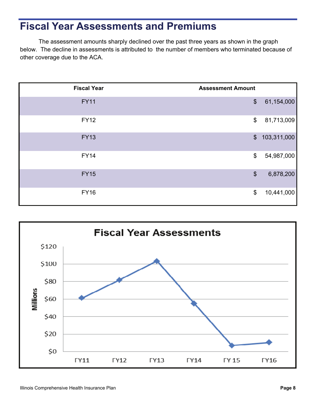## **Fiscal Year Assessments and Premiums**

The assessment amounts sharply declined over the past three years as shown in the graph below. The decline in assessments is attributed to the number of members who terminated because of other coverage due to the ACA.

| <b>Fiscal Year</b> | <b>Assessment Amount</b>  |             |
|--------------------|---------------------------|-------------|
| <b>FY11</b>        | $\boldsymbol{\mathsf{S}}$ | 61,154,000  |
| <b>FY12</b>        | \$                        | 81,713,009  |
| <b>FY13</b>        | $\frac{1}{2}$             | 103,311,000 |
| <b>FY14</b>        | \$                        | 54,987,000  |
| <b>FY15</b>        | $\boldsymbol{\mathsf{S}}$ | 6,878,200   |
| <b>FY16</b>        | \$                        | 10,441,000  |

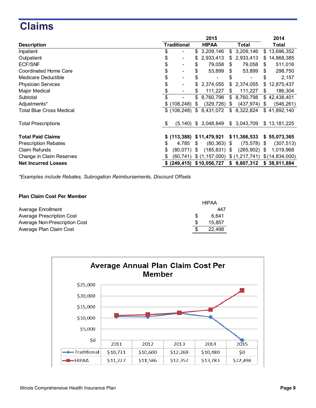## **Claims**

|                                 | 2015 |                              |    |                            |     | 2014                     |                  |
|---------------------------------|------|------------------------------|----|----------------------------|-----|--------------------------|------------------|
| <b>Description</b>              |      | <b>Traditional</b>           |    | <b>HIPAA</b>               |     | <b>Total</b>             | Total            |
| Inpatient                       | \$   | $\qquad \qquad \blacksquare$ | S  | 3,209,146                  | \$  | 3,209,146                | \$13,696,352     |
| Outpatient                      | \$   | $\overline{\phantom{a}}$     | \$ | 2,933,413                  |     | \$2,933,413              | \$<br>14,868,385 |
| <b>ECF/SNF</b>                  | \$   | $\qquad \qquad$              | \$ | 79,058                     | \$. | 79,058                   | \$<br>511,016    |
| Coordinated Home Care           | \$   | $\qquad \qquad \blacksquare$ | \$ | 53,899                     | \$  | 53,899                   | \$<br>298,750    |
| <b>Medicare Deductible</b>      | \$   |                              | \$ |                            | S   | $\overline{\phantom{0}}$ | \$<br>2,157      |
| <b>Physician Services</b>       | \$   | $\qquad \qquad$              | \$ | 2,374,055                  | \$  | 2,374,055                | \$<br>12,875,437 |
| Major Medical                   |      |                              | S. | 111,227                    | \$  | 111,227                  | \$<br>186,304    |
| Subtotal                        |      | $\blacksquare$               | \$ | 8,760,798                  |     | \$ 8,760,798             | \$42,438,401     |
| Adjustments*                    |      | \$(108, 248)                 | \$ | $(329, 726)$ \$            |     | (437, 974)               | \$<br>(546, 261) |
| <b>Total Blue Cross Medical</b> |      | \$(108, 248)                 | \$ | 8,431,072                  | \$  | 8,322,824                | \$41,892,140     |
| <b>Total Prescriptions</b>      | - \$ | $(5, 140)$ \$                |    | 3,048,849                  |     | \$3,043,709              | \$13,181,225     |
|                                 |      |                              |    |                            |     |                          |                  |
| <b>Total Paid Claims</b>        |      |                              |    | \$ (113,388) \$11,479,921  |     | \$11,366,533             | \$55,073,365     |
| <b>Prescription Rebates</b>     | \$   | 4,785                        | -S | $(80, 363)$ \$             |     | $(75, 578)$ \$           | (307, 513)       |
| <b>Claim Refunds</b>            |      | $(80,071)$ \$                |    | $(185, 831)$ \$            |     | $(265,902)$ \$           | 1,019,968        |
| Change in Claim Reserves        |      | (60, 741)                    |    | \$(1, 157, 000)            |     | \$(1,217,741)            | \$(14,834,000)   |
| <b>Net Incurred Losses</b>      |      |                              |    | \$ (249, 415) \$10,056,727 |     | \$9,807,312              | \$38,911,884     |

*\*Examples include Rebates, Subrogation Reimbursements, Discount Offsets*

#### **Plan Claim Cost Per Member**

|                               | <b>HIPAA</b> |
|-------------------------------|--------------|
| Average Enrollment            | 447          |
| Average Prescription Cost     | 6.641        |
| Average Non-Prescription Cost | 15.857       |
| Average Plan Claim Cost       | 22.498       |

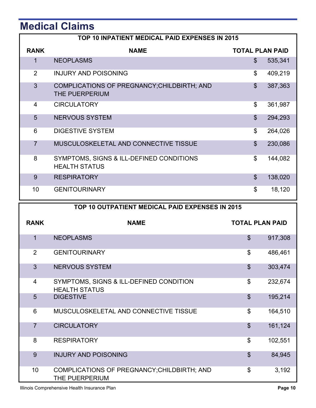# **Medical Claims**

|                | TOP 10 INPATIENT MEDICAL PAID EXPENSES IN 2015                   |                        |         |  |  |  |  |  |
|----------------|------------------------------------------------------------------|------------------------|---------|--|--|--|--|--|
| <b>RANK</b>    | <b>NAME</b>                                                      | <b>TOTAL PLAN PAID</b> |         |  |  |  |  |  |
| $\mathbf 1$    | <b>NEOPLASMS</b>                                                 | $\mathbb{S}$           | 535,341 |  |  |  |  |  |
| $\overline{2}$ | <b>INJURY AND POISONING</b>                                      | \$                     | 409,219 |  |  |  |  |  |
| 3              | COMPLICATIONS OF PREGNANCY; CHILDBIRTH; AND<br>THE PUERPERIUM    | $\mathfrak{S}$         | 387,363 |  |  |  |  |  |
| 4              | <b>CIRCULATORY</b>                                               | \$                     | 361,987 |  |  |  |  |  |
| 5              | <b>NERVOUS SYSTEM</b>                                            | $\mathbb{S}$           | 294,293 |  |  |  |  |  |
| 6              | <b>DIGESTIVE SYSTEM</b>                                          | \$                     | 264,026 |  |  |  |  |  |
| $\overline{7}$ | MUSCULOSKELETAL AND CONNECTIVE TISSUE                            | $\mathbb{S}$           | 230,086 |  |  |  |  |  |
| 8              | SYMPTOMS, SIGNS & ILL-DEFINED CONDITIONS<br><b>HEALTH STATUS</b> | \$                     | 144,082 |  |  |  |  |  |
| 9              | <b>RESPIRATORY</b>                                               | $\mathfrak{S}$         | 138,020 |  |  |  |  |  |
| 10             | <b>GENITOURINARY</b>                                             | \$                     | 18,120  |  |  |  |  |  |

|                | TOP 10 OUTPATIENT MEDICAL PAID EXPENSES IN 2015                 |                           |         |  |  |  |  |  |
|----------------|-----------------------------------------------------------------|---------------------------|---------|--|--|--|--|--|
| <b>RANK</b>    | <b>NAME</b>                                                     | <b>TOTAL PLAN PAID</b>    |         |  |  |  |  |  |
| 1              | <b>NEOPLASMS</b>                                                | $\mathfrak{S}$            | 917,308 |  |  |  |  |  |
| 2              | <b>GENITOURINARY</b>                                            | $\boldsymbol{\mathsf{S}}$ | 486,461 |  |  |  |  |  |
| 3              | <b>NERVOUS SYSTEM</b>                                           | $\mathfrak{S}$            | 303,474 |  |  |  |  |  |
| $\overline{4}$ | SYMPTOMS, SIGNS & ILL-DEFINED CONDITION<br><b>HEALTH STATUS</b> | $\mathcal{S}$             | 232,674 |  |  |  |  |  |
| 5              | <b>DIGESTIVE</b>                                                | $\mathfrak{S}$            | 195,214 |  |  |  |  |  |
| 6              | MUSCULOSKELETAL AND CONNECTIVE TISSUE                           | \$                        | 164,510 |  |  |  |  |  |
| $\overline{7}$ | <b>CIRCULATORY</b>                                              | $\mathfrak{S}$            | 161,124 |  |  |  |  |  |
| 8              | <b>RESPIRATORY</b>                                              | \$                        | 102,551 |  |  |  |  |  |
| 9              | <b>INJURY AND POISONING</b>                                     | $\mathfrak{S}$            | 84,945  |  |  |  |  |  |
| 10             | COMPLICATIONS OF PREGNANCY; CHILDBIRTH; AND<br>THE PUERPERIUM   | \$                        | 3,192   |  |  |  |  |  |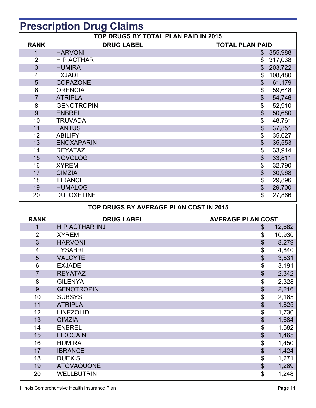# **Prescription Drug Claims**

| <b>TOP DRUGS BY TOTAL PLAN PAID IN 2015</b> |                   |                           |                        |  |
|---------------------------------------------|-------------------|---------------------------|------------------------|--|
| <b>RANK</b>                                 | <b>DRUG LABEL</b> |                           | <b>TOTAL PLAN PAID</b> |  |
| $\mathbf{1}$                                | <b>HARVONI</b>    |                           | \$355,988              |  |
| $\overline{2}$                              | <b>HP ACTHAR</b>  | \$                        | 317,038                |  |
| 3                                           | <b>HUMIRA</b>     | $\mathfrak{S}$            | 203,722                |  |
| $\overline{\mathbf{4}}$                     | <b>EXJADE</b>     | \$                        | 108,480                |  |
| 5                                           | <b>COPAZONE</b>   | $\boldsymbol{\mathsf{S}}$ | 61,179                 |  |
| 6                                           | <b>ORENCIA</b>    | \$                        | 59,648                 |  |
| $\overline{7}$                              | <b>ATRIPLA</b>    | $\boldsymbol{\mathsf{S}}$ | 54,746                 |  |
| 8                                           | <b>GENOTROPIN</b> | \$                        | 52,910                 |  |
| 9                                           | <b>ENBREL</b>     | \$                        | 50,680                 |  |
| 10                                          | <b>TRUVADA</b>    | \$                        | 48,761                 |  |
| 11                                          | <b>LANTUS</b>     | \$                        | 37,851                 |  |
| 12                                          | <b>ABILIFY</b>    | \$                        | 35,627                 |  |
| 13                                          | <b>ENOXAPARIN</b> | \$                        | 35,553                 |  |
| 14                                          | <b>REYATAZ</b>    | \$                        | 33,914                 |  |
| 15                                          | <b>NOVOLOG</b>    | $\mathfrak{S}$            | 33,811                 |  |
| 16                                          | <b>XYREM</b>      | \$                        | 32,790                 |  |
| 17                                          | <b>CIMZIA</b>     | $\boldsymbol{\mathsf{S}}$ | 30,968                 |  |
| 18                                          | <b>IBRANCE</b>    | \$                        | 29,896                 |  |
| 19                                          | <b>HUMALOG</b>    | $\boldsymbol{\mathsf{S}}$ | 29,700                 |  |
| 20                                          | <b>DULOXETINE</b> | \$                        | 27,866                 |  |

| TOP DRUGS BY AVERAGE PLAN COST IN 2015 |                       |                            |        |  |
|----------------------------------------|-----------------------|----------------------------|--------|--|
| <b>RANK</b>                            | <b>DRUG LABEL</b>     | <b>AVERAGE PLAN COST</b>   |        |  |
| 1                                      | <b>H P ACTHAR INJ</b> | $\$\$                      | 12,682 |  |
| $\overline{2}$                         | <b>XYREM</b>          | \$                         | 10,930 |  |
| 3                                      | <b>HARVONI</b>        | \$                         | 8,279  |  |
| 4                                      | <b>TYSABRI</b>        | \$                         | 4,840  |  |
| 5                                      | <b>VALCYTE</b>        | \$                         | 3,531  |  |
| 6                                      | <b>EXJADE</b>         | \$                         | 3,191  |  |
| $\overline{7}$                         | <b>REYATAZ</b>        | $\boldsymbol{\mathsf{S}}$  | 2,342  |  |
| 8                                      | <b>GILENYA</b>        | \$                         | 2,328  |  |
| 9                                      | <b>GENOTROPIN</b>     | \$                         | 2,216  |  |
| 10                                     | <b>SUBSYS</b>         | \$                         | 2,165  |  |
| 11                                     | <b>ATRIPLA</b>        | \$                         | 1,825  |  |
| 12                                     | <b>LINEZOLID</b>      | \$                         | 1,730  |  |
| 13                                     | <b>CIMZIA</b>         | $\boldsymbol{\mathsf{\$}}$ | 1,684  |  |
| 14                                     | <b>ENBREL</b>         | \$                         | 1,582  |  |
| 15                                     | <b>LIDOCAINE</b>      | \$                         | 1,465  |  |
| 16                                     | <b>HUMIRA</b>         | \$                         | 1,450  |  |
| 17                                     | <b>IBRANCE</b>        | \$                         | 1,424  |  |
| 18                                     | <b>DUEXIS</b>         | \$                         | 1,271  |  |
| 19                                     | <b>ATOVAQUONE</b>     | $\boldsymbol{\mathsf{\$}}$ | 1,269  |  |
| 20                                     | <b>WELLBUTRIN</b>     | \$                         | 1,248  |  |